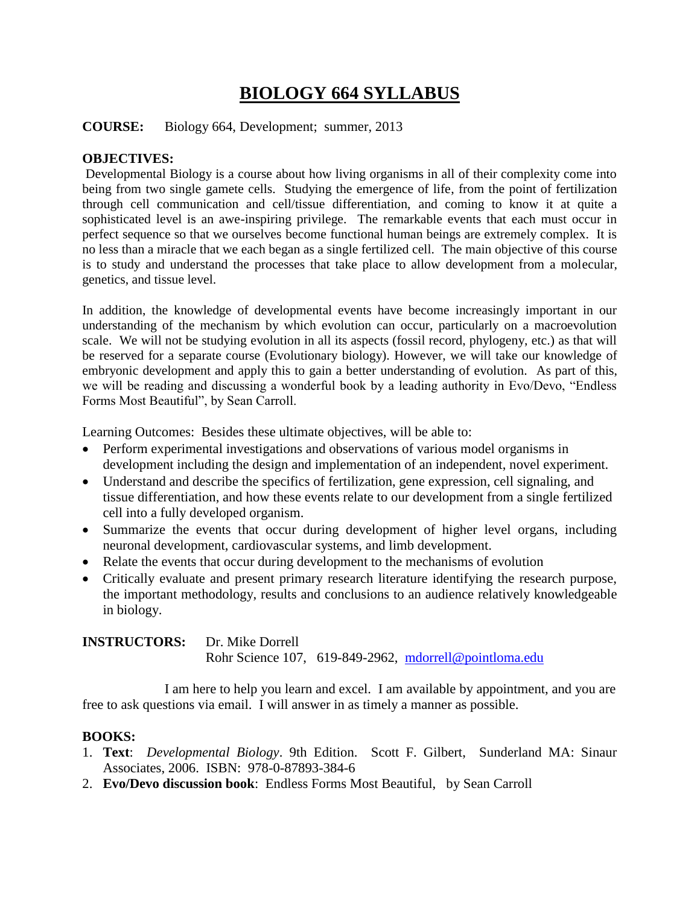### **BIOLOGY 664 SYLLABUS**

#### **COURSE:** Biology 664, Development; summer, 2013

#### **OBJECTIVES:**

Developmental Biology is a course about how living organisms in all of their complexity come into being from two single gamete cells. Studying the emergence of life, from the point of fertilization through cell communication and cell/tissue differentiation, and coming to know it at quite a sophisticated level is an awe-inspiring privilege. The remarkable events that each must occur in perfect sequence so that we ourselves become functional human beings are extremely complex. It is no less than a miracle that we each began as a single fertilized cell. The main objective of this course is to study and understand the processes that take place to allow development from a molecular, genetics, and tissue level.

In addition, the knowledge of developmental events have become increasingly important in our understanding of the mechanism by which evolution can occur, particularly on a macroevolution scale. We will not be studying evolution in all its aspects (fossil record, phylogeny, etc.) as that will be reserved for a separate course (Evolutionary biology). However, we will take our knowledge of embryonic development and apply this to gain a better understanding of evolution. As part of this, we will be reading and discussing a wonderful book by a leading authority in Evo/Devo, "Endless Forms Most Beautiful", by Sean Carroll.

Learning Outcomes: Besides these ultimate objectives, will be able to:

- Perform experimental investigations and observations of various model organisms in development including the design and implementation of an independent, novel experiment.
- Understand and describe the specifics of fertilization, gene expression, cell signaling, and tissue differentiation, and how these events relate to our development from a single fertilized cell into a fully developed organism.
- Summarize the events that occur during development of higher level organs, including neuronal development, cardiovascular systems, and limb development.
- Relate the events that occur during development to the mechanisms of evolution
- Critically evaluate and present primary research literature identifying the research purpose, the important methodology, results and conclusions to an audience relatively knowledgeable in biology.

**INSTRUCTORS:** Dr. Mike Dorrell Rohr Science 107, 619-849-2962, [mdorrell@pointloma.edu](mailto:mdorrell@pointloma.edu)

I am here to help you learn and excel. I am available by appointment, and you are free to ask questions via email. I will answer in as timely a manner as possible.

#### **BOOKS:**

- 1. **Text**: *Developmental Biology*. 9th Edition. Scott F. Gilbert, Sunderland MA: Sinaur Associates, 2006. ISBN: 978-0-87893-384-6
- 2. **Evo/Devo discussion book**: Endless Forms Most Beautiful, by Sean Carroll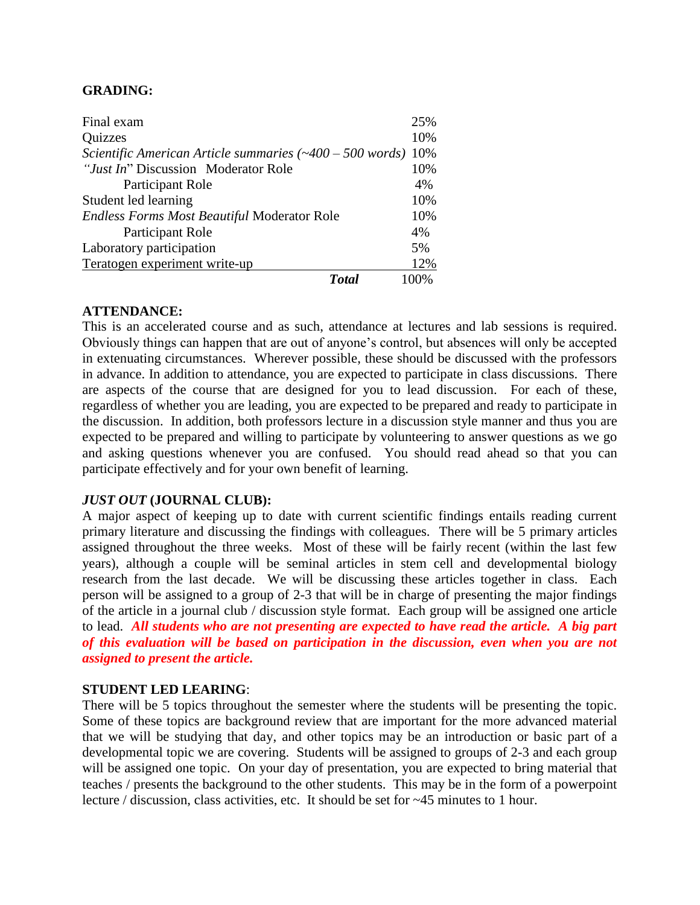#### **GRADING:**

| Final exam                                                         | 25%  |
|--------------------------------------------------------------------|------|
| Quizzes                                                            | 10%  |
| Scientific American Article summaries $(\sim 400 - 500$ words) 10% |      |
| "Just In" Discussion Moderator Role                                | 10%  |
| Participant Role                                                   | 4%   |
| Student led learning                                               | 10%  |
| <b>Endless Forms Most Beautiful Moderator Role</b>                 | 10%  |
| Participant Role                                                   | 4%   |
| Laboratory participation                                           | 5%   |
| Teratogen experiment write-up                                      | 12%  |
| <b>Total</b>                                                       | 100% |

#### **ATTENDANCE:**

This is an accelerated course and as such, attendance at lectures and lab sessions is required. Obviously things can happen that are out of anyone's control, but absences will only be accepted in extenuating circumstances. Wherever possible, these should be discussed with the professors in advance. In addition to attendance, you are expected to participate in class discussions. There are aspects of the course that are designed for you to lead discussion. For each of these, regardless of whether you are leading, you are expected to be prepared and ready to participate in the discussion. In addition, both professors lecture in a discussion style manner and thus you are expected to be prepared and willing to participate by volunteering to answer questions as we go and asking questions whenever you are confused. You should read ahead so that you can participate effectively and for your own benefit of learning.

#### *JUST OUT* **(JOURNAL CLUB):**

A major aspect of keeping up to date with current scientific findings entails reading current primary literature and discussing the findings with colleagues. There will be 5 primary articles assigned throughout the three weeks. Most of these will be fairly recent (within the last few years), although a couple will be seminal articles in stem cell and developmental biology research from the last decade. We will be discussing these articles together in class. Each person will be assigned to a group of 2-3 that will be in charge of presenting the major findings of the article in a journal club / discussion style format. Each group will be assigned one article to lead. *All students who are not presenting are expected to have read the article. A big part of this evaluation will be based on participation in the discussion, even when you are not assigned to present the article.*

#### **STUDENT LED LEARING**:

There will be 5 topics throughout the semester where the students will be presenting the topic. Some of these topics are background review that are important for the more advanced material that we will be studying that day, and other topics may be an introduction or basic part of a developmental topic we are covering. Students will be assigned to groups of 2-3 and each group will be assigned one topic. On your day of presentation, you are expected to bring material that teaches / presents the background to the other students. This may be in the form of a powerpoint lecture / discussion, class activities, etc. It should be set for ~45 minutes to 1 hour.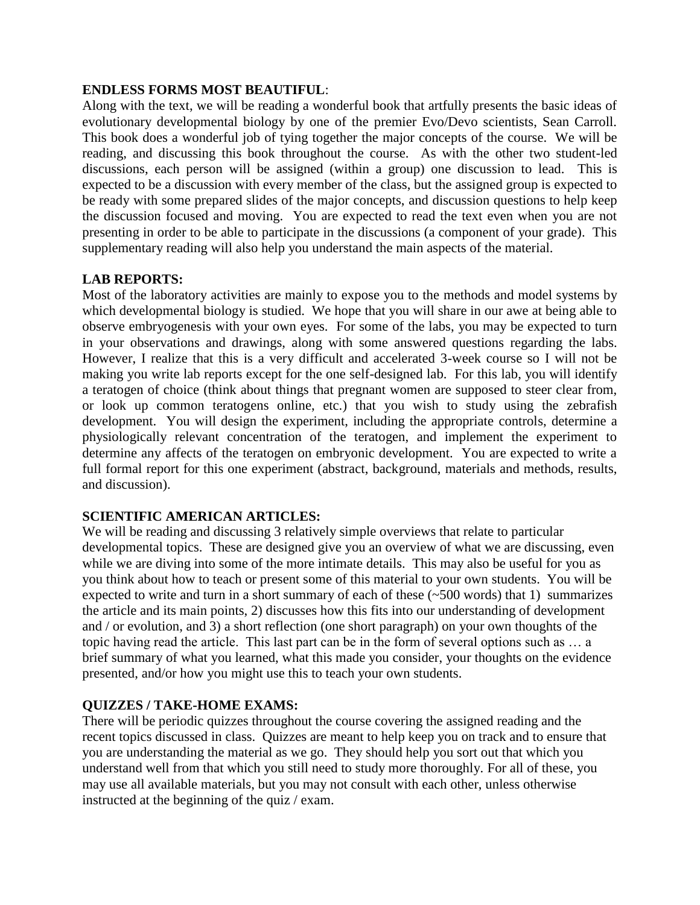#### **ENDLESS FORMS MOST BEAUTIFUL**:

Along with the text, we will be reading a wonderful book that artfully presents the basic ideas of evolutionary developmental biology by one of the premier Evo/Devo scientists, Sean Carroll. This book does a wonderful job of tying together the major concepts of the course. We will be reading, and discussing this book throughout the course. As with the other two student-led discussions, each person will be assigned (within a group) one discussion to lead. This is expected to be a discussion with every member of the class, but the assigned group is expected to be ready with some prepared slides of the major concepts, and discussion questions to help keep the discussion focused and moving. You are expected to read the text even when you are not presenting in order to be able to participate in the discussions (a component of your grade). This supplementary reading will also help you understand the main aspects of the material.

#### **LAB REPORTS:**

Most of the laboratory activities are mainly to expose you to the methods and model systems by which developmental biology is studied. We hope that you will share in our awe at being able to observe embryogenesis with your own eyes. For some of the labs, you may be expected to turn in your observations and drawings, along with some answered questions regarding the labs. However, I realize that this is a very difficult and accelerated 3-week course so I will not be making you write lab reports except for the one self-designed lab. For this lab, you will identify a teratogen of choice (think about things that pregnant women are supposed to steer clear from, or look up common teratogens online, etc.) that you wish to study using the zebrafish development. You will design the experiment, including the appropriate controls, determine a physiologically relevant concentration of the teratogen, and implement the experiment to determine any affects of the teratogen on embryonic development. You are expected to write a full formal report for this one experiment (abstract, background, materials and methods, results, and discussion).

#### **SCIENTIFIC AMERICAN ARTICLES:**

We will be reading and discussing 3 relatively simple overviews that relate to particular developmental topics. These are designed give you an overview of what we are discussing, even while we are diving into some of the more intimate details. This may also be useful for you as you think about how to teach or present some of this material to your own students. You will be expected to write and turn in a short summary of each of these (~500 words) that 1) summarizes the article and its main points, 2) discusses how this fits into our understanding of development and / or evolution, and 3) a short reflection (one short paragraph) on your own thoughts of the topic having read the article. This last part can be in the form of several options such as … a brief summary of what you learned, what this made you consider, your thoughts on the evidence presented, and/or how you might use this to teach your own students.

### **QUIZZES / TAKE-HOME EXAMS:**

There will be periodic quizzes throughout the course covering the assigned reading and the recent topics discussed in class. Quizzes are meant to help keep you on track and to ensure that you are understanding the material as we go. They should help you sort out that which you understand well from that which you still need to study more thoroughly. For all of these, you may use all available materials, but you may not consult with each other, unless otherwise instructed at the beginning of the quiz / exam.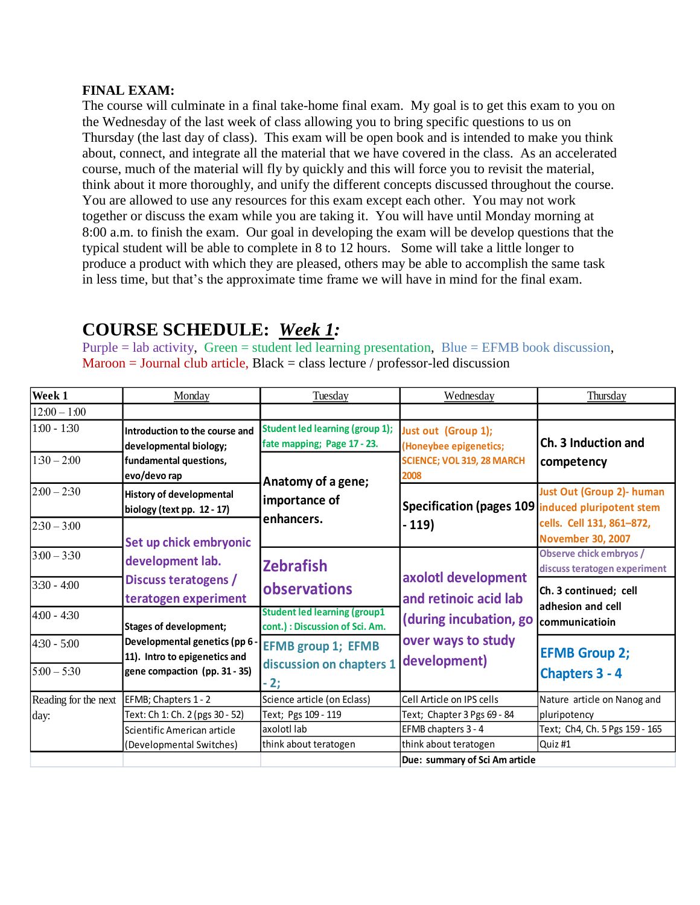#### **FINAL EXAM:**

The course will culminate in a final take-home final exam. My goal is to get this exam to you on the Wednesday of the last week of class allowing you to bring specific questions to us on Thursday (the last day of class). This exam will be open book and is intended to make you think about, connect, and integrate all the material that we have covered in the class. As an accelerated course, much of the material will fly by quickly and this will force you to revisit the material, think about it more thoroughly, and unify the different concepts discussed throughout the course. You are allowed to use any resources for this exam except each other. You may not work together or discuss the exam while you are taking it. You will have until Monday morning at 8:00 a.m. to finish the exam. Our goal in developing the exam will be develop questions that the typical student will be able to complete in 8 to 12 hours. Some will take a little longer to produce a product with which they are pleased, others may be able to accomplish the same task in less time, but that's the approximate time frame we will have in mind for the final exam.

#### **Week 1** Monday 1 Tuesday 1 Wednesday 1 Thursday 12:00 – 1:00 1:00 - 1:30 **Introduction to the course and Student led learning (group 1); fate mapping; Page 17 - 23.**  $1:30 - 2:00$  $\sqrt{2.00-2.30}$  **History of developmental biology (text pp. 12 - 17)**  $2:30 - 3:00$ 3:00 – 3:30 **Observe chick embryos / discuss teratogen experiment** 3:30 - 4:00 4:00 - 4:30 **Student led learning (group1 cont.) : Discussion of Sci. Am.**  4:30 - 5:00  $5:00 - 5:30$ EFMB; Chapters 1 - 2 Science article (on Eclass) Cell Article on IPS cells Text: Ch 1: Ch. 2 (pgs 30 - 52) Text; Pgs 109 - 119 Text; Chapter 3 Pgs 69 - 84 axolotl lab  $\overline{EFMB}$  chapters 3 - 4  $\overline{Text; Ch4, Ch. 5}$  Pgs 159 - 165 think about teratogen hthink about teratogen Quiz #1 **Due: summary of Sci Am article Just out (Group 1); (Honeybee epigenetics; SCIENCE; VOL 319, 28 MARCH 2008 EFMB group 1; EFMB discussion on chapters 1 - 2; Specification (pages 109 induced pluripotent stem - 119) axolotl development and retinoic acid lab (during incubation, go over ways to study development) Ch. 3 Induction and competency Just Out (Group 2)- human cells. Cell 131, 861–872, November 30, 2007 Ch. 3 continued; cell adhesion and cell communicatioin EFMB Group 2; Chapters 3 - 4 developmental biology; fundamental questions, evo/devo rap Set up chick embryonic development lab. Discuss teratogens / teratogen experiment Stages of development; Developmental genetics (pp 6 11). Intro to epigenetics and gene compaction (pp. 31 - 35) Anatomy of a gene; importance of enhancers. Zebrafish observations** Reading for the next day: Scientific American article (Developmental Switches) Nature article on Nanog and pluripotency

### **COURSE SCHEDULE:** *Week 1:*

Purple  $=$  lab activity, Green  $=$  student led learning presentation, Blue  $=$  EFMB book discussion,  $Maron = Journal club article, Black = class lecture / professor-led discussion$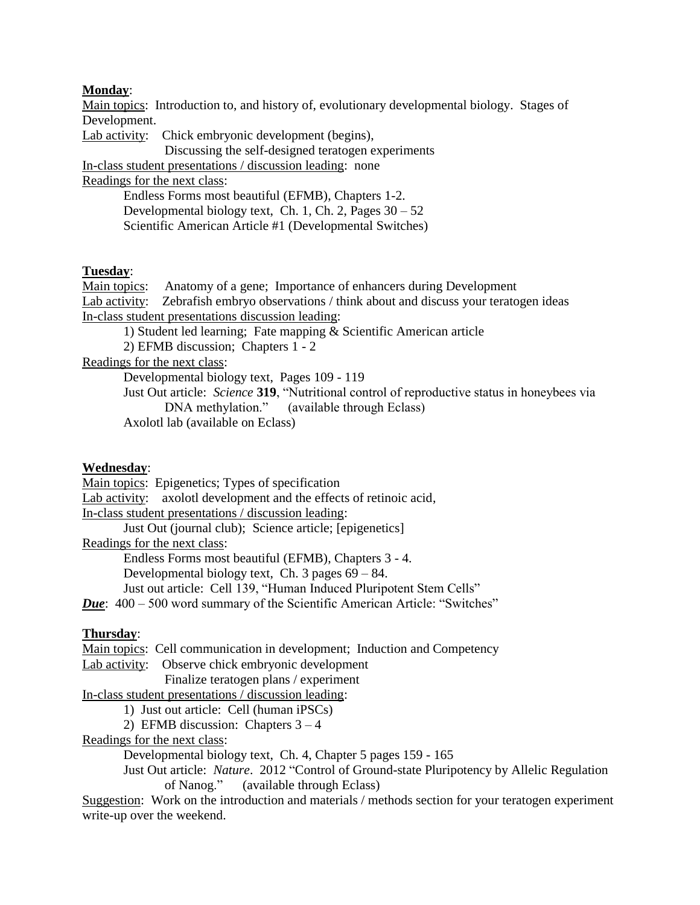#### **Monday**:

Main topics: Introduction to, and history of, evolutionary developmental biology. Stages of Development.

Lab activity: Chick embryonic development (begins),

Discussing the self-designed teratogen experiments

In-class student presentations / discussion leading: none

Readings for the next class:

Endless Forms most beautiful (EFMB), Chapters 1-2. Developmental biology text, Ch. 1, Ch. 2, Pages  $30 - 52$ Scientific American Article #1 (Developmental Switches)

#### **Tuesday**:

Main topics: Anatomy of a gene; Importance of enhancers during Development Lab activity: Zebrafish embryo observations / think about and discuss your teratogen ideas In-class student presentations discussion leading:

1) Student led learning; Fate mapping & Scientific American article

2) EFMB discussion; Chapters 1 - 2

Readings for the next class:

Developmental biology text, Pages 109 - 119

Just Out article: *Science* **319**, "Nutritional control of reproductive status in honeybees via DNA methylation." (available through Eclass)

Axolotl lab (available on Eclass)

#### **Wednesday**:

Main topics: Epigenetics; Types of specification

Lab activity: axolotl development and the effects of retinoic acid,

In-class student presentations / discussion leading:

Just Out (journal club); Science article; [epigenetics]

Readings for the next class:

Endless Forms most beautiful (EFMB), Chapters 3 - 4.

Developmental biology text, Ch. 3 pages 69 – 84.

Just out article: Cell 139, "Human Induced Pluripotent Stem Cells"

*Due*:  $400 - 500$  word summary of the Scientific American Article: "Switches"

#### **Thursday**:

Main topics: Cell communication in development; Induction and Competency

Lab activity: Observe chick embryonic development

Finalize teratogen plans / experiment

In-class student presentations / discussion leading:

1) Just out article: Cell (human iPSCs)

2) EFMB discussion: Chapters 3 – 4

Readings for the next class:

Developmental biology text, Ch. 4, Chapter 5 pages 159 - 165

Just Out article: *Nature*. 2012 "Control of Ground-state Pluripotency by Allelic Regulation of Nanog." (available through Eclass)

Suggestion: Work on the introduction and materials / methods section for your teratogen experiment write-up over the weekend.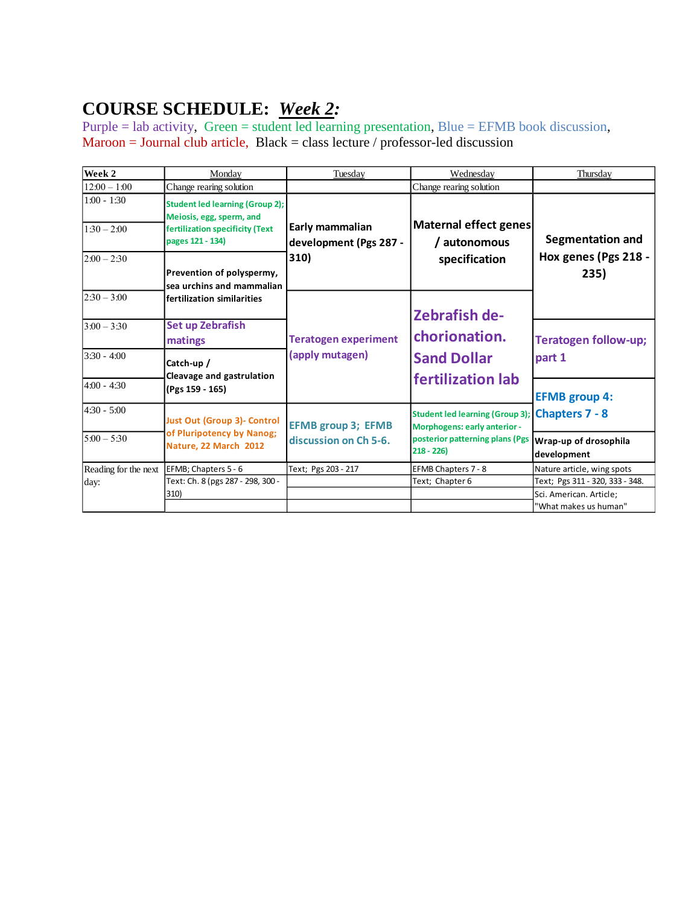# **COURSE SCHEDULE:** *Week 2:*

Purple = lab activity, Green = student led learning presentation, Blue = EFMB book discussion,  $Maron = Journal club article, Black = class lecture / professor-led discussion$ 

| Week 2                         | Monday                                                                                                                                                                                                                                                                                                         | Tuesday                                            | Wednesday                                                                                                                               | Thursday                                                |
|--------------------------------|----------------------------------------------------------------------------------------------------------------------------------------------------------------------------------------------------------------------------------------------------------------------------------------------------------------|----------------------------------------------------|-----------------------------------------------------------------------------------------------------------------------------------------|---------------------------------------------------------|
| $12:00 - 1:00$                 | Change rearing solution                                                                                                                                                                                                                                                                                        |                                                    | Change rearing solution                                                                                                                 |                                                         |
| $1:00 - 1:30$<br>$1:30 - 2:00$ | <b>Student led learning (Group 2);</b><br>Meiosis, egg, sperm, and<br>fertilization specificity (Text<br>pages 121 - 134)<br>Prevention of polyspermy,<br>sea urchins and mammalian<br>fertilization similarities<br>Set up Zebrafish<br>matings<br>Catch-up /<br>Cleavage and gastrulation<br>(Pgs 159 - 165) | Early mammalian<br>development (Pgs 287 -<br>310)  | Maternal effect genes<br>/ autonomous<br>specification                                                                                  | <b>Segmentation and</b><br>Hox genes (Pgs 218 -<br>235) |
| $2:00 - 2:30$                  |                                                                                                                                                                                                                                                                                                                |                                                    |                                                                                                                                         |                                                         |
| $2:30 - 3:00$                  |                                                                                                                                                                                                                                                                                                                |                                                    | <b>Zebrafish de-</b>                                                                                                                    |                                                         |
| $3:00 - 3:30$                  |                                                                                                                                                                                                                                                                                                                | <b>Teratogen experiment</b><br>(apply mutagen)     | chorionation.<br><b>Sand Dollar</b><br>fertilization lab                                                                                | <b>Teratogen follow-up;</b><br>part 1                   |
| $3:30 - 4:00$                  |                                                                                                                                                                                                                                                                                                                |                                                    |                                                                                                                                         |                                                         |
| $4:00 - 4:30$                  |                                                                                                                                                                                                                                                                                                                |                                                    |                                                                                                                                         | <b>EFMB group 4:</b>                                    |
| $4:30 - 5:00$                  | <b>Just Out (Group 3)- Control</b><br>of Pluripotency by Nanog;<br>Nature, 22 March 2012                                                                                                                                                                                                                       | <b>EFMB group 3; EFMB</b><br>discussion on Ch 5-6. | Student led learning (Group 3); Chapters 7 - 8<br><b>Morphogens: early anterior -</b><br>posterior patterning plans (Pgs<br>$218 - 226$ |                                                         |
| $5:00 - 5:30$                  |                                                                                                                                                                                                                                                                                                                |                                                    |                                                                                                                                         | Wrap-up of drosophila<br>development                    |
| Reading for the next           | EFMB; Chapters 5 - 6                                                                                                                                                                                                                                                                                           | Text; Pgs 203 - 217                                | EFMB Chapters 7 - 8                                                                                                                     | Nature article, wing spots                              |
| day:                           | Text: Ch. 8 (pgs 287 - 298, 300 -                                                                                                                                                                                                                                                                              |                                                    | Text; Chapter 6                                                                                                                         | Text; Pgs 311 - 320, 333 - 348.                         |
|                                | 310)                                                                                                                                                                                                                                                                                                           |                                                    |                                                                                                                                         | Sci. American. Article;<br>"What makes us human"        |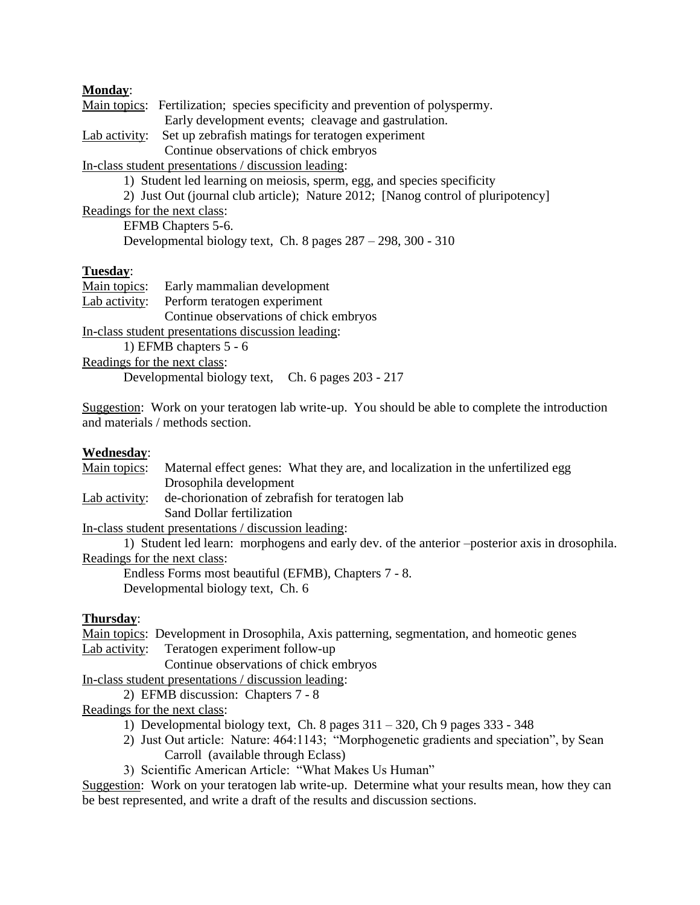#### **Monday**:

Main topics: Fertilization; species specificity and prevention of polyspermy. Early development events; cleavage and gastrulation. Lab activity: Set up zebrafish matings for teratogen experiment Continue observations of chick embryos In-class student presentations / discussion leading: 1) Student led learning on meiosis, sperm, egg, and species specificity 2) Just Out (journal club article); Nature 2012; [Nanog control of pluripotency] Readings for the next class: EFMB Chapters 5-6. Developmental biology text, Ch. 8 pages 287 – 298, 300 - 310

#### **Tuesday**:

| Main topics:                 | Early mammalian development                        |  |  |
|------------------------------|----------------------------------------------------|--|--|
| Lab activity:                | Perform teratogen experiment                       |  |  |
|                              | Continue observations of chick embryos             |  |  |
|                              | In-class student presentations discussion leading: |  |  |
|                              | 1) EFMB chapters $5 - 6$                           |  |  |
| Readings for the next class: |                                                    |  |  |
|                              | Developmental biology text, Ch. 6 pages 203 - 217  |  |  |

Suggestion: Work on your teratogen lab write-up. You should be able to complete the introduction and materials / methods section.

#### **Wednesday**:

| Main topics:                 | Maternal effect genes: What they are, and localization in the unfertilized egg                 |
|------------------------------|------------------------------------------------------------------------------------------------|
|                              | Drosophila development                                                                         |
| Lab activity:                | de-chorionation of zebrafish for teratogen lab                                                 |
|                              | Sand Dollar fertilization                                                                      |
|                              | In-class student presentations / discussion leading:                                           |
|                              | 1) Student led learn: morphogens and early dev. of the anterior -posterior axis in drosophila. |
| Readings for the next class: |                                                                                                |
|                              | Endless Forms most beautiful (EFMB), Chapters 7 - 8.                                           |

Developmental biology text, Ch. 6

#### **Thursday**:

Main topics: Development in Drosophila, Axis patterning, segmentation, and homeotic genes Lab activity: Teratogen experiment follow-up

Continue observations of chick embryos

In-class student presentations / discussion leading:

2) EFMB discussion: Chapters 7 - 8

Readings for the next class:

- 1) Developmental biology text, Ch. 8 pages 311 320, Ch 9 pages 333 348
- 2) Just Out article: Nature: 464:1143; "Morphogenetic gradients and speciation", by Sean Carroll (available through Eclass)
- 3) Scientific American Article: "What Makes Us Human"

Suggestion: Work on your teratogen lab write-up. Determine what your results mean, how they can be best represented, and write a draft of the results and discussion sections.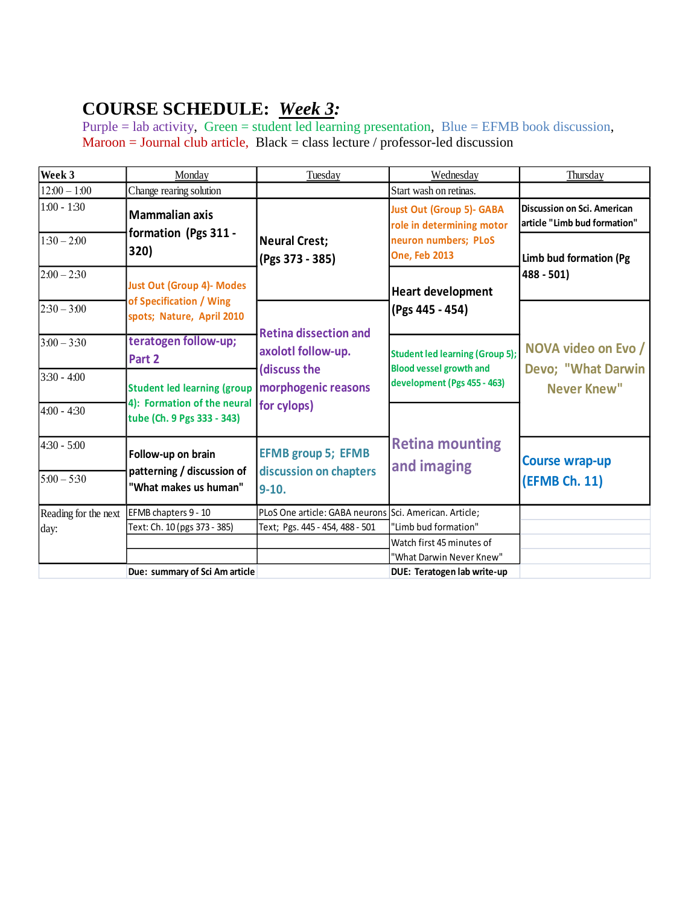# **COURSE SCHEDULE:** *Week 3:*

Purple = lab activity, Green = student led learning presentation, Blue = EFMB book discussion,  $Maroon = Journal club article, Black = class lecture / professor-led discussion$ 

| Week 3               | Monday                                                    | Tuesday                                                | Wednesday                                                                | Thursday                                                    |
|----------------------|-----------------------------------------------------------|--------------------------------------------------------|--------------------------------------------------------------------------|-------------------------------------------------------------|
| $12:00 - 1:00$       | Change rearing solution                                   |                                                        | Start wash on retinas.                                                   |                                                             |
| $1:00 - 1:30$        | <b>Mammalian axis</b>                                     |                                                        | <b>Just Out (Group 5)- GABA</b><br>role in determining motor             | Discussion on Sci. American<br>article "Limb bud formation" |
| $1:30 - 2:00$        | formation (Pgs 311 -<br>320)                              | <b>Neural Crest;</b><br>(Pgs 373 - 385)                | neuron numbers; PLoS<br><b>One, Feb 2013</b>                             | Limb bud formation (Pg                                      |
| $2:00 - 2:30$        | <b>Just Out (Group 4)- Modes</b>                          |                                                        | <b>Heart development</b>                                                 | $488 - 501$                                                 |
| $2:30 - 3:00$        | of Specification / Wing<br>spots; Nature, April 2010      | <b>Retina dissection and</b>                           | (Pgs 445 - 454)                                                          |                                                             |
| $3:00 - 3:30$        | teratogen follow-up;<br>Part 2                            | axolotl follow-up.<br>discuss the                      | <b>Student led learning (Group 5);</b><br><b>Blood vessel growth and</b> | NOVA video on Evo /<br>Devo; "What Darwin                   |
| $3:30 - 4:00$        | <b>Student led learning (group</b>                        | morphogenic reasons                                    | development (Pgs 455 - 463)                                              | Never Knew"                                                 |
| $4:00 - 4:30$        | 4): Formation of the neural<br>tube (Ch. 9 Pgs 333 - 343) | for cylops)                                            |                                                                          |                                                             |
| $4:30 - 5:00$        | Follow-up on brain                                        | <b>EFMB group 5; EFMB</b>                              | <b>Retina mounting</b><br>and imaging                                    | <b>Course wrap-up</b>                                       |
| $5:00 - 5:30$        | patterning / discussion of<br>"What makes us human"       | discussion on chapters<br>$9-10.$                      |                                                                          | (EFMB Ch. 11)                                               |
| Reading for the next | EFMB chapters 9 - 10                                      | PLoS One article: GABA neurons Sci. American. Article; |                                                                          |                                                             |
| day:                 | Text: Ch. 10 (pgs 373 - 385)                              | Text; Pgs. 445 - 454, 488 - 501                        | "Limb bud formation"                                                     |                                                             |
|                      |                                                           |                                                        | Watch first 45 minutes of                                                |                                                             |
|                      |                                                           |                                                        | "What Darwin Never Knew"                                                 |                                                             |
|                      | Due: summary of Sci Am article                            |                                                        | DUE: Teratogen lab write-up                                              |                                                             |